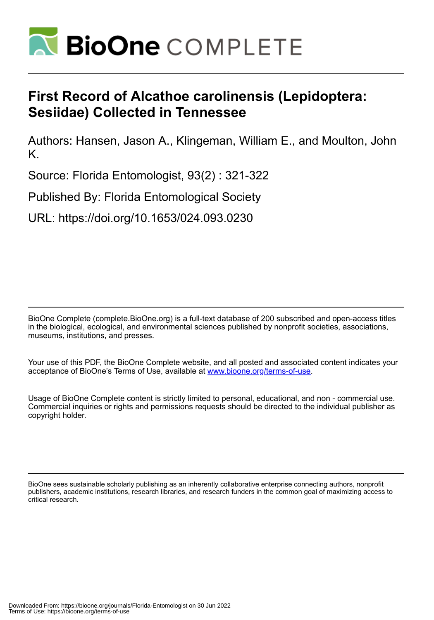

## **First Record of Alcathoe carolinensis (Lepidoptera: Sesiidae) Collected in Tennessee**

Authors: Hansen, Jason A., Klingeman, William E., and Moulton, John K.

Source: Florida Entomologist, 93(2) : 321-322

Published By: Florida Entomological Society

URL: https://doi.org/10.1653/024.093.0230

BioOne Complete (complete.BioOne.org) is a full-text database of 200 subscribed and open-access titles in the biological, ecological, and environmental sciences published by nonprofit societies, associations, museums, institutions, and presses.

Your use of this PDF, the BioOne Complete website, and all posted and associated content indicates your acceptance of BioOne's Terms of Use, available at www.bioone.org/terms-of-use.

Usage of BioOne Complete content is strictly limited to personal, educational, and non - commercial use. Commercial inquiries or rights and permissions requests should be directed to the individual publisher as copyright holder.

BioOne sees sustainable scholarly publishing as an inherently collaborative enterprise connecting authors, nonprofit publishers, academic institutions, research libraries, and research funders in the common goal of maximizing access to critical research.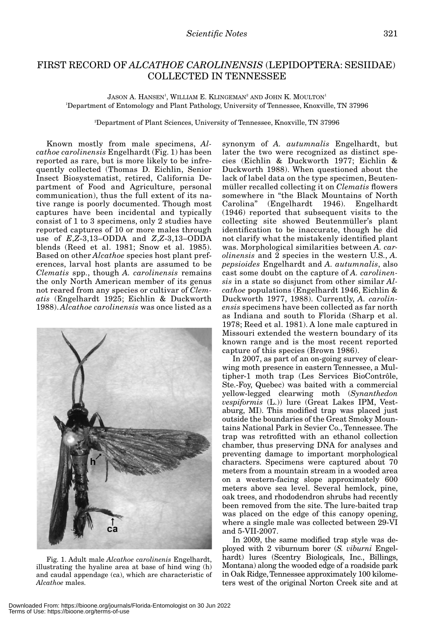## FIRST RECORD OF *ALCATHOE CAROLINENSIS* (LEPIDOPTERA: SESIIDAE) COLLECTED IN TENNESSEE

 $\rm J$ ASON A. HANSEN $^1$ , WILLIAM E. KLINGEMAN $^2$  AND  $\rm J$ OHN K. MOULTON $^1$ 1 Department of Entomology and Plant Pathology, University of Tennessee, Knoxville, TN 37996

2 Department of Plant Sciences, University of Tennessee, Knoxville, TN 37996

Known mostly from male specimens, *Alcathoe carolinensis* Engelhardt (Fig. 1) has been reported as rare, but is more likely to be infrequently collected (Thomas D. Eichlin, Senior Insect Biosystematist, retired, California Department of Food and Agriculture, personal communication), thus the full extent of its native range is poorly documented. Though most captures have been incidental and typically consist of 1 to 3 specimens, only 2 studies have reported captures of 10 or more males through use of *E*,*Z*-3,13–ODDA and *Z*,*Z*-3,13–ODDA blends (Reed et al. 1981; Snow et al. 1985). Based on other *Alcathoe* species host plant preferences, larval host plants are assumed to be *Clematis* spp., though *A. carolinensis* remains the only North American member of its genus not reared from any species or cultivar of *Clematis* (Engelhardt 1925; Eichlin & Duckworth 1988). *Alcathoe carolinensis* was once listed as a



Fig. 1. Adult male *Alcathoe carolinenis* Engelhardt, illustrating the hyaline area at base of hind wing (h) and caudal appendage (ca), which are characteristic of *Alcathoe* males.

synonym of *A. autumnalis* Engelhardt, but later the two were recognized as distinct species (Eichlin & Duckworth 1977; Eichlin & Duckworth 1988). When questioned about the lack of label data on the type specimen, Beutenmüller recalled collecting it on *Clematis* flowers somewhere in "the Black Mountains of North Carolina" (Engelhardt 1946). Engelhardt (1946) reported that subsequent visits to the collecting site showed Beutenmüller's plant identification to be inaccurate, though he did not clarify what the mistakenly identified plant was. Morphological similarities between *A. carolinensis* and 2 species in the western U.S., *A. pepsioides* Engelhardt and *A. autumnalis*, also cast some doubt on the capture of *A. carolinensis* in a state so disjunct from other similar *Alcathoe* populations (Engelhardt 1946, Eichlin & Duckworth 1977, 1988). Currently, *A. carolinensis* specimens have been collected as far north as Indiana and south to Florida (Sharp et al. 1978; Reed et al. 1981). A lone male captured in Missouri extended the western boundary of its known range and is the most recent reported capture of this species (Brown 1986).

In 2007, as part of an on-going survey of clearwing moth presence in eastern Tennessee, a Multipher-1 moth trap (Les Services BioContrôle, Ste.-Foy, Quebec) was baited with a commercial yellow-legged clearwing moth (*Synanthedon vespiformis* (L.)) lure (Great Lakes IPM, Vestaburg, MI). This modified trap was placed just outside the boundaries of the Great Smoky Mountains National Park in Sevier Co., Tennessee. The trap was retrofitted with an ethanol collection chamber, thus preserving DNA for analyses and preventing damage to important morphological characters. Specimens were captured about 70 meters from a mountain stream in a wooded area on a western-facing slope approximately 600 meters above sea level. Several hemlock, pine, oak trees, and rhododendron shrubs had recently been removed from the site. The lure-baited trap was placed on the edge of this canopy opening, where a single male was collected between 29-VI and 5-VII-2007.

In 2009, the same modified trap style was deployed with 2 viburnum borer (*S. viburni* Engelhardt) lures (Scentry Biologicals, Inc., Billings, Montana) along the wooded edge of a roadside park in Oak Ridge, Tennessee approximately 100 kilometers west of the original Norton Creek site and at